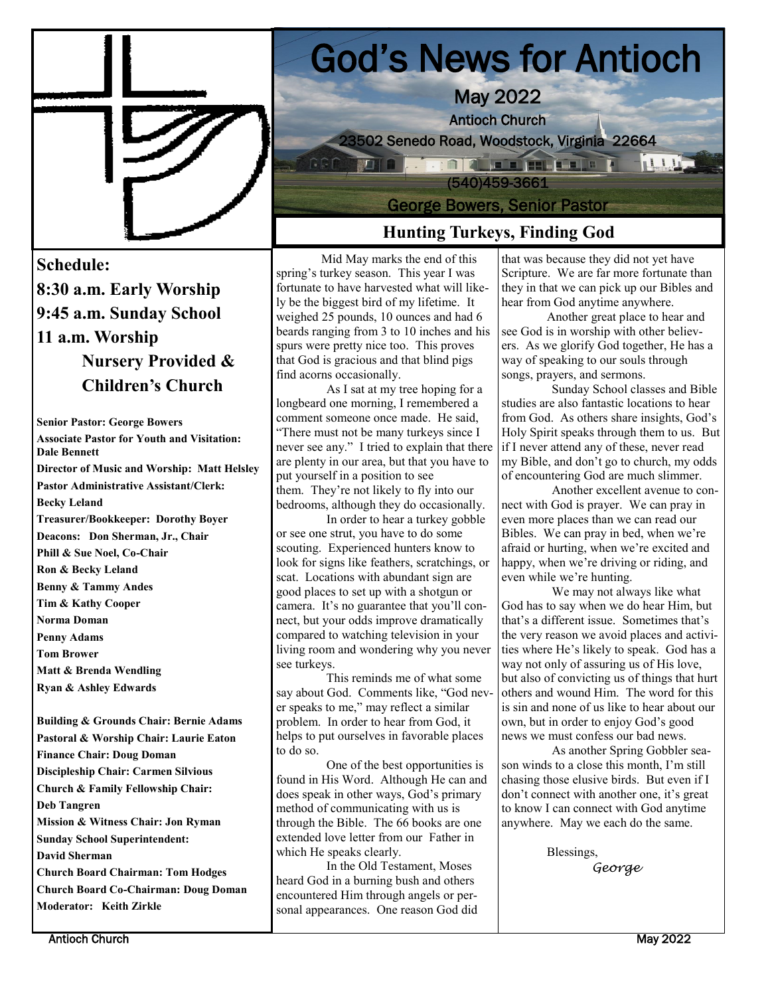

#### **Schedule:**

**8:30 a.m. Early Worship 9:45 a.m. Sunday School 11 a.m. Worship Nursery Provided & Children's Church**

**Senior Pastor: George Bowers Associate Pastor for Youth and Visitation: Dale Bennett Director of Music and Worship: Matt Helsley Pastor Administrative Assistant/Clerk: Becky Leland Treasurer/Bookkeeper: Dorothy Boyer Deacons: Don Sherman, Jr., Chair Phill & Sue Noel, Co-Chair Ron & Becky Leland Benny & Tammy Andes Tim & Kathy Cooper Norma Doman Penny Adams Tom Brower Matt & Brenda Wendling Ryan & Ashley Edwards** 

**Building & Grounds Chair: Bernie Adams Pastoral & Worship Chair: Laurie Eaton Finance Chair: Doug Doman Discipleship Chair: Carmen Silvious Church & Family Fellowship Chair: Deb Tangren Mission & Witness Chair: Jon Ryman Sunday School Superintendent: David Sherman Church Board Chairman: Tom Hodges Church Board Co-Chairman: Doug Doman Moderator: Keith Zirkle**

 God's News for Antioch May 2022 Antioch Church 23502 Senedo Road, Woodstock, Virginia 22664 **A A LE A HELLE A** 11112 (540)459-3661 George Bowers, Senior Pastor

## **Hunting Turkeys, Finding God**

Mid May marks the end of this spring's turkey season. This year I was fortunate to have harvested what will likely be the biggest bird of my lifetime. It weighed 25 pounds, 10 ounces and had 6 beards ranging from 3 to 10 inches and his spurs were pretty nice too. This proves that God is gracious and that blind pigs find acorns occasionally.

 As I sat at my tree hoping for a longbeard one morning, I remembered a comment someone once made. He said, "There must not be many turkeys since I never see any." I tried to explain that there are plenty in our area, but that you have to put yourself in a position to see them. They're not likely to fly into our bedrooms, although they do occasionally.

 In order to hear a turkey gobble or see one strut, you have to do some scouting. Experienced hunters know to look for signs like feathers, scratchings, or scat. Locations with abundant sign are good places to set up with a shotgun or camera. It's no guarantee that you'll connect, but your odds improve dramatically compared to watching television in your living room and wondering why you never see turkeys.

 This reminds me of what some say about God. Comments like, "God never speaks to me," may reflect a similar problem. In order to hear from God, it helps to put ourselves in favorable places to do so.

 One of the best opportunities is found in His Word. Although He can and does speak in other ways, God's primary method of communicating with us is through the Bible. The 66 books are one extended love letter from our Father in which He speaks clearly.

 In the Old Testament, Moses heard God in a burning bush and others encountered Him through angels or personal appearances. One reason God did

that was because they did not yet have Scripture. We are far more fortunate than they in that we can pick up our Bibles and hear from God anytime anywhere.

Another great place to hear and see God is in worship with other believers. As we glorify God together, He has a way of speaking to our souls through songs, prayers, and sermons.

 Sunday School classes and Bible studies are also fantastic locations to hear from God. As others share insights, God's Holy Spirit speaks through them to us. But if I never attend any of these, never read my Bible, and don't go to church, my odds of encountering God are much slimmer.

 Another excellent avenue to connect with God is prayer. We can pray in even more places than we can read our Bibles. We can pray in bed, when we're afraid or hurting, when we're excited and happy, when we're driving or riding, and even while we're hunting.

 We may not always like what God has to say when we do hear Him, but that's a different issue. Sometimes that's the very reason we avoid places and activities where He's likely to speak. God has a way not only of assuring us of His love, but also of convicting us of things that hurt others and wound Him. The word for this is sin and none of us like to hear about our own, but in order to enjoy God's good news we must confess our bad news.

As another Spring Gobbler season winds to a close this month, I'm still chasing those elusive birds. But even if I don't connect with another one, it's great to know I can connect with God anytime anywhere. May we each do the same.

> Blessings, *George*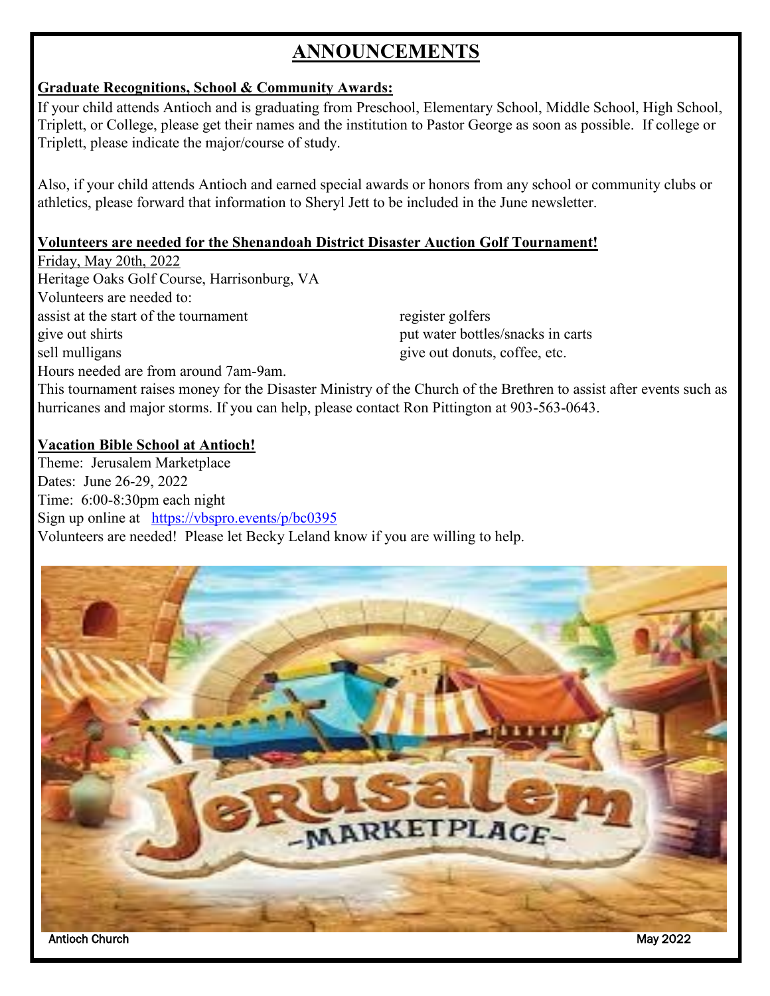## **ANNOUNCEMENTS**

#### **Graduate Recognitions, School & Community Awards:**

If your child attends Antioch and is graduating from Preschool, Elementary School, Middle School, High School, Triplett, or College, please get their names and the institution to Pastor George as soon as possible. If college or Triplett, please indicate the major/course of study.

Also, if your child attends Antioch and earned special awards or honors from any school or community clubs or athletics, please forward that information to Sheryl Jett to be included in the June newsletter.

#### **Volunteers are needed for the Shenandoah District Disaster Auction Golf Tournament!**

Friday, May 20th, 2022 Heritage Oaks Golf Course, Harrisonburg, VA Volunteers are needed to: assist at the start of the tournament register golfers give out shirts put water bottles/snacks in carts sell mulligans give out donuts, coffee, etc. Hours needed are from around 7am-9am.

This tournament raises money for the Disaster Ministry of the Church of the Brethren to assist after events such as hurricanes and major storms. If you can help, please contact Ron Pittington at 903-563-0643.

#### **Vacation Bible School at Antioch!**

Theme: Jerusalem Marketplace Dates: June 26-29, 2022 Time: 6:00-8:30pm each night Sign up online at <https://vbspro.events/p/bc0395> Volunteers are needed! Please let Becky Leland know if you are willing to help.

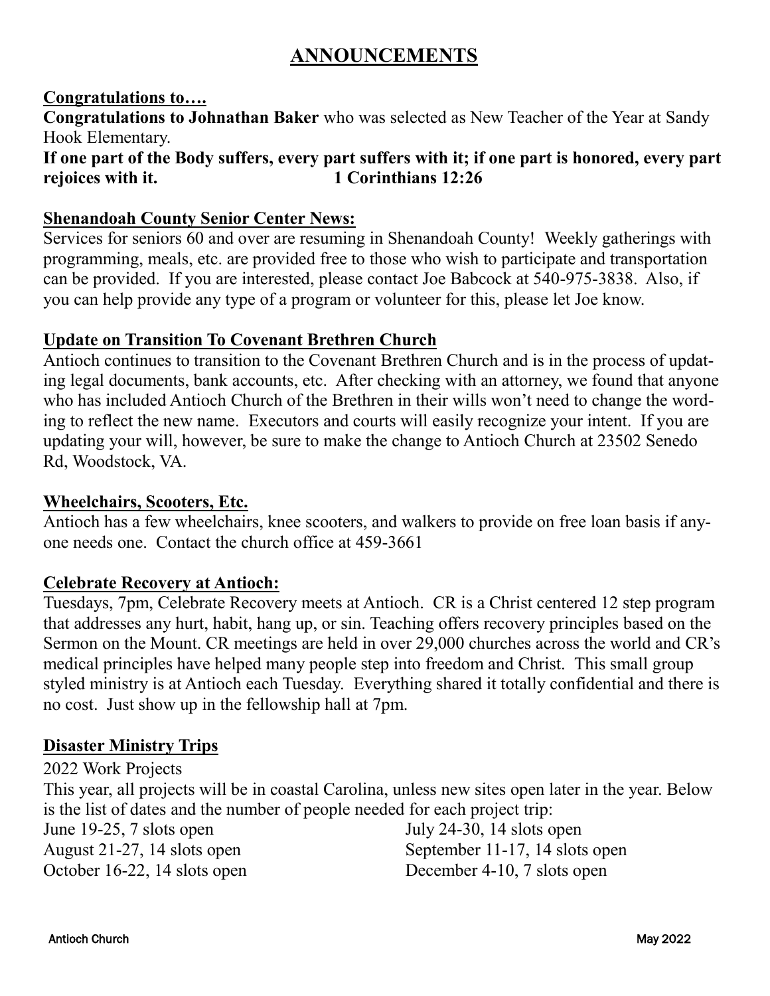## **ANNOUNCEMENTS**

#### **Congratulations to….**

**Congratulations to Johnathan Baker** who was selected as New Teacher of the Year at Sandy Hook Elementary.

### **If one part of the Body suffers, every part suffers with it; if one part is honored, every part rejoices with it. 1 Corinthians 12:26**

#### **Shenandoah County Senior Center News:**

Services for seniors 60 and over are resuming in Shenandoah County! Weekly gatherings with programming, meals, etc. are provided free to those who wish to participate and transportation can be provided. If you are interested, please contact Joe Babcock at 540-975-3838. Also, if you can help provide any type of a program or volunteer for this, please let Joe know.

#### **Update on Transition To Covenant Brethren Church**

Antioch continues to transition to the Covenant Brethren Church and is in the process of updating legal documents, bank accounts, etc. After checking with an attorney, we found that anyone who has included Antioch Church of the Brethren in their wills won't need to change the wording to reflect the new name. Executors and courts will easily recognize your intent. If you are updating your will, however, be sure to make the change to Antioch Church at 23502 Senedo Rd, Woodstock, VA.

#### **Wheelchairs, Scooters, Etc.**

Antioch has a few wheelchairs, knee scooters, and walkers to provide on free loan basis if anyone needs one. Contact the church office at 459-3661

#### **Celebrate Recovery at Antioch:**

Tuesdays, 7pm, Celebrate Recovery meets at Antioch. CR is a Christ centered 12 step program that addresses any hurt, habit, hang up, or sin. Teaching offers recovery principles based on the Sermon on the Mount. CR meetings are held in over 29,000 churches across the world and CR's medical principles have helped many people step into freedom and Christ. This small group styled ministry is at Antioch each Tuesday. Everything shared it totally confidential and there is no cost. Just show up in the fellowship hall at 7pm.

#### **Disaster Ministry Trips**

2022 Work Projects This year, all projects will be in coastal Carolina, unless new sites open later in the year. Below is the list of dates and the number of people needed for each project trip: June 19-25, 7 slots open July 24-30, 14 slots open August 21-27, 14 slots open September 11-17, 14 slots open October 16-22, 14 slots open December 4-10, 7 slots open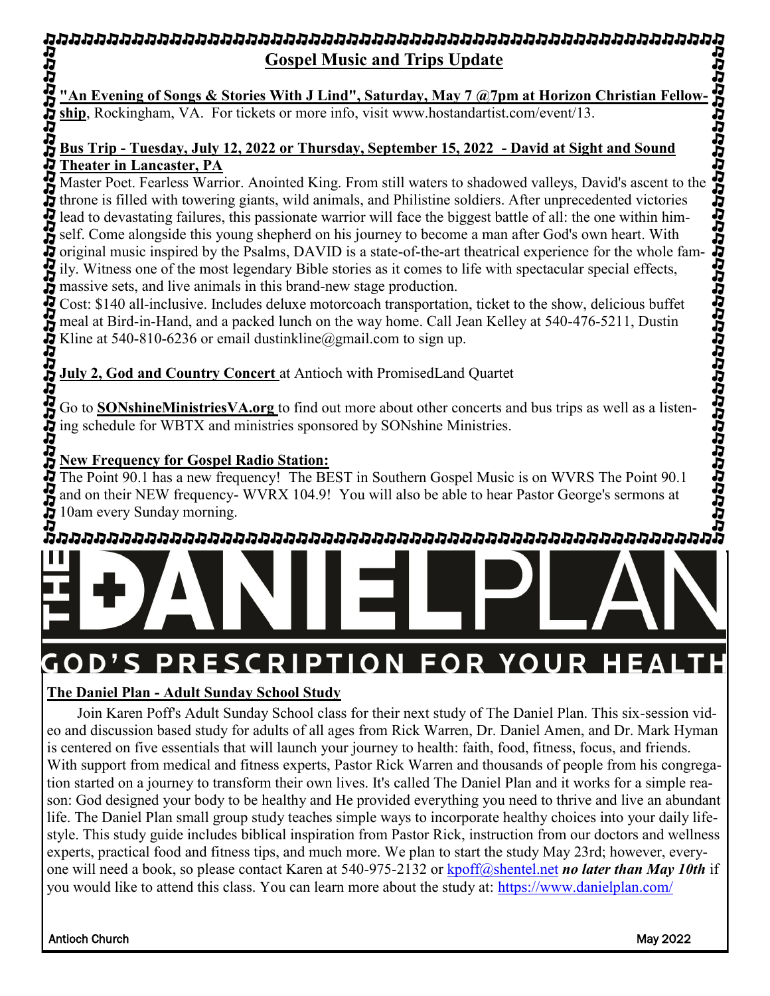# **Gospel Music and Trips Update**

**"An Evening of Songs & Stories With J Lind", Saturday, May 7 @7pm at Horizon Christian Fellowship**, Rockingham, VA. For tickets or more info, visit www.hostandartist.com/event/13.

#### **Bus Trip - Tuesday, July 12, 2022 or Thursday, September 15, 2022 - David at Sight and Sound Theater in Lancaster, PA**

Master Poet. Fearless Warrior. Anointed King. From still waters to shadowed valleys, David's ascent to the throne is filled with towering giants, wild animals, and Philistine soldiers. After unprecedented victories lead to devastating failures, this passionate warrior will face the biggest battle of all: the one within himself. Come alongside this young shepherd on his journey to become a man after God's own heart. With original music inspired by the Psalms, DAVID is a state-of-the-art theatrical experience for the whole family. Witness one of the most legendary Bible stories as it comes to life with spectacular special effects, massive sets, and live animals in this brand-new stage production.

Cost: \$140 all-inclusive. Includes deluxe motorcoach transportation, ticket to the show, delicious buffet meal at Bird-in-Hand, and a packed lunch on the way home. Call Jean Kelley at 540-476-5211, Dustin Kline at 540-810-6236 or email dustinkline@gmail.com to sign up.

**July 2, God and Country Concert** at Antioch with PromisedLand Quartet

Go to **SONshineMinistriesVA.org** to find out more about other concerts and bus trips as well as a listening schedule for WBTX and ministries sponsored by SONshine Ministries.

## **New Frequency for Gospel Radio Station:**

The Point 90.1 has a new frequency! The BEST in Southern Gospel Music is on WVRS The Point 90.1 and on their NEW frequency- WVRX 104.9! You will also be able to hear Pastor George's sermons at 10am every Sunday morning.



#### **GOD'S PRESCRIPTION FOR YOUR HE** Δ

### **The Daniel Plan - Adult Sunday School Study**

 Join Karen Poff's Adult Sunday School class for their next study of The Daniel Plan. This six-session video and discussion based study for adults of all ages from Rick Warren, Dr. Daniel Amen, and Dr. Mark Hyman is centered on five essentials that will launch your journey to health: faith, food, fitness, focus, and friends. With support from medical and fitness experts, Pastor Rick Warren and thousands of people from his congregation started on a journey to transform their own lives. It's called The Daniel Plan and it works for a simple reason: God designed your body to be healthy and He provided everything you need to thrive and live an abundant life. The Daniel Plan small group study teaches simple ways to incorporate healthy choices into your daily lifestyle. This study guide includes biblical inspiration from Pastor Rick, instruction from our doctors and wellness experts, practical food and fitness tips, and much more. We plan to start the study May 23rd; however, everyone will need a book, so please contact Karen at 540-975-2132 or [kpoff@shentel.net](mailto:kpoff@shentel.net) *no later than May 10th* if you would like to attend this class. You can learn more about the study at: <https://www.danielplan.com/>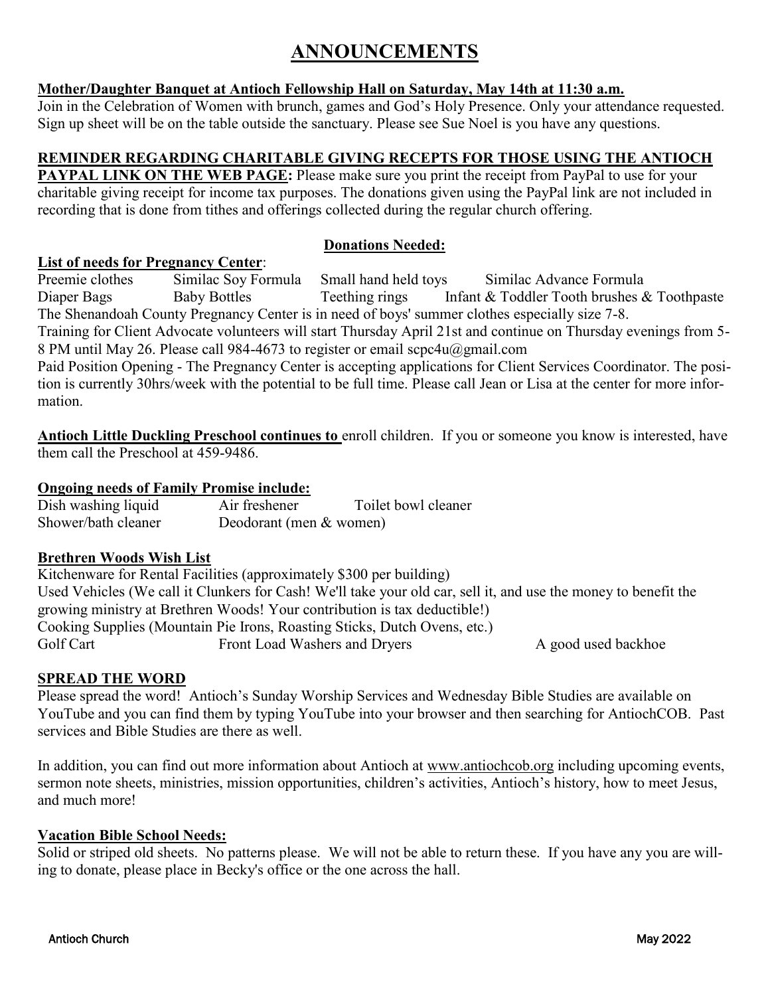## **ANNOUNCEMENTS**

#### **Mother/Daughter Banquet at Antioch Fellowship Hall on Saturday, May 14th at 11:30 a.m.**

Join in the Celebration of Women with brunch, games and God's Holy Presence. Only your attendance requested. Sign up sheet will be on the table outside the sanctuary. Please see Sue Noel is you have any questions.

#### **REMINDER REGARDING CHARITABLE GIVING RECEPTS FOR THOSE USING THE ANTIOCH**

**PAYPAL LINK ON THE WEB PAGE:** Please make sure you print the receipt from PayPal to use for your charitable giving receipt for income tax purposes. The donations given using the PayPal link are not included in recording that is done from tithes and offerings collected during the regular church offering.

#### **Donations Needed:**

#### **List of needs for Pregnancy Center**:

Preemie clothes Similac Soy Formula Small hand held toys Similac Advance Formula

Diaper Bags Baby Bottles Teething rings Infant & Toddler Tooth brushes & Toothpaste The Shenandoah County Pregnancy Center is in need of boys' summer clothes especially size 7-8.

Training for Client Advocate volunteers will start Thursday April 21st and continue on Thursday evenings from 5- 8 PM until May 26. Please call 984-4673 to register or email scpc4u@gmail.com

Paid Position Opening - The Pregnancy Center is accepting applications for Client Services Coordinator. The position is currently 30hrs/week with the potential to be full time. Please call Jean or Lisa at the center for more information.

**Antioch Little Duckling Preschool continues to** enroll children. If you or someone you know is interested, have them call the Preschool at 459-9486.

#### **Ongoing needs of Family Promise include:**

Dish washing liquid Air freshener Toilet bowl cleaner Shower/bath cleaner Deodorant (men & women)

#### **Brethren Woods Wish List**

Kitchenware for Rental Facilities (approximately \$300 per building) Used Vehicles (We call it Clunkers for Cash! We'll take your old car, sell it, and use the money to benefit the growing ministry at Brethren Woods! Your contribution is tax deductible!) Cooking Supplies (Mountain Pie Irons, Roasting Sticks, Dutch Ovens, etc.) Golf Cart Front Load Washers and Dryers A good used backhoe

#### **SPREAD THE WORD**

Please spread the word! Antioch's Sunday Worship Services and Wednesday Bible Studies are available on YouTube and you can find them by typing YouTube into your browser and then searching for AntiochCOB. Past services and Bible Studies are there as well.

In addition, you can find out more information about Antioch at [www.antiochcob.org](http://www.antiochcob.org) including upcoming events, sermon note sheets, ministries, mission opportunities, children's activities, Antioch's history, how to meet Jesus, and much more!

#### **Vacation Bible School Needs:**

Solid or striped old sheets. No patterns please. We will not be able to return these. If you have any you are willing to donate, please place in Becky's office or the one across the hall.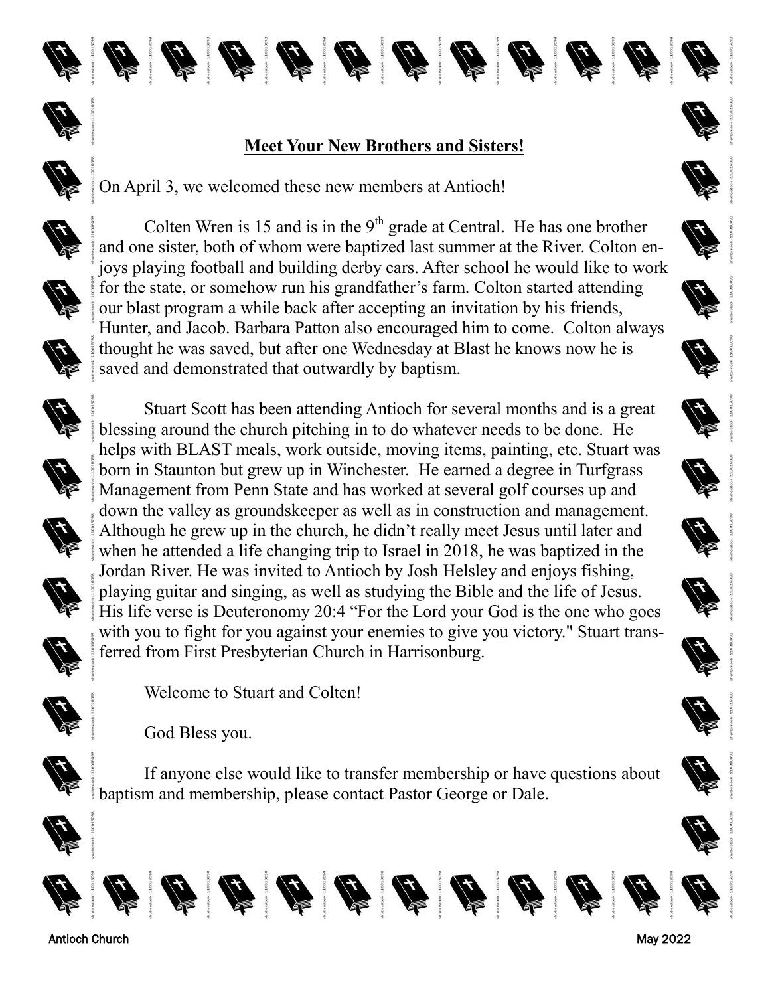



## **Meet Your New Brothers and Sisters!**

中有自信有情情值值值

On April 3, we welcomed these new members at Antioch!





Colten Wren is 15 and is in the  $9<sup>th</sup>$  grade at Central. He has one brother and one sister, both of whom were baptized last summer at the River. Colton enjoys playing football and building derby cars. After school he would like to work for the state, or somehow run his grandfather's farm. Colton started attending our blast program a while back after accepting an invitation by his friends, Hunter, and Jacob. Barbara Patton also encouraged him to come. Colton always thought he was saved, but after one Wednesday at Blast he knows now he is saved and demonstrated that outwardly by baptism.

Stuart Scott has been attending Antioch for several months and is a great

blessing around the church pitching in to do whatever needs to be done. He

born in Staunton but grew up in Winchester. He earned a degree in Turfgrass









Management from Penn State and has worked at several golf courses up and down the valley as groundskeeper as well as in construction and management. Although he grew up in the church, he didn't really meet Jesus until later and when he attended a life changing trip to Israel in 2018, he was baptized in the Jordan River. He was invited to Antioch by Josh Helsley and enjoys fishing, playing guitar and singing, as well as studying the Bible and the life of Jesus. His life verse is Deuteronomy 20:4 "For the Lord your God is the one who goes





God Bless you.



If anyone else would like to transfer membership or have questions about baptism and membership, please contact Pastor George or Dale.









ferred from First Presbyterian Church in Harrisonburg.

Welcome to Stuart and Colten!





















































Antioch Church May 2022



























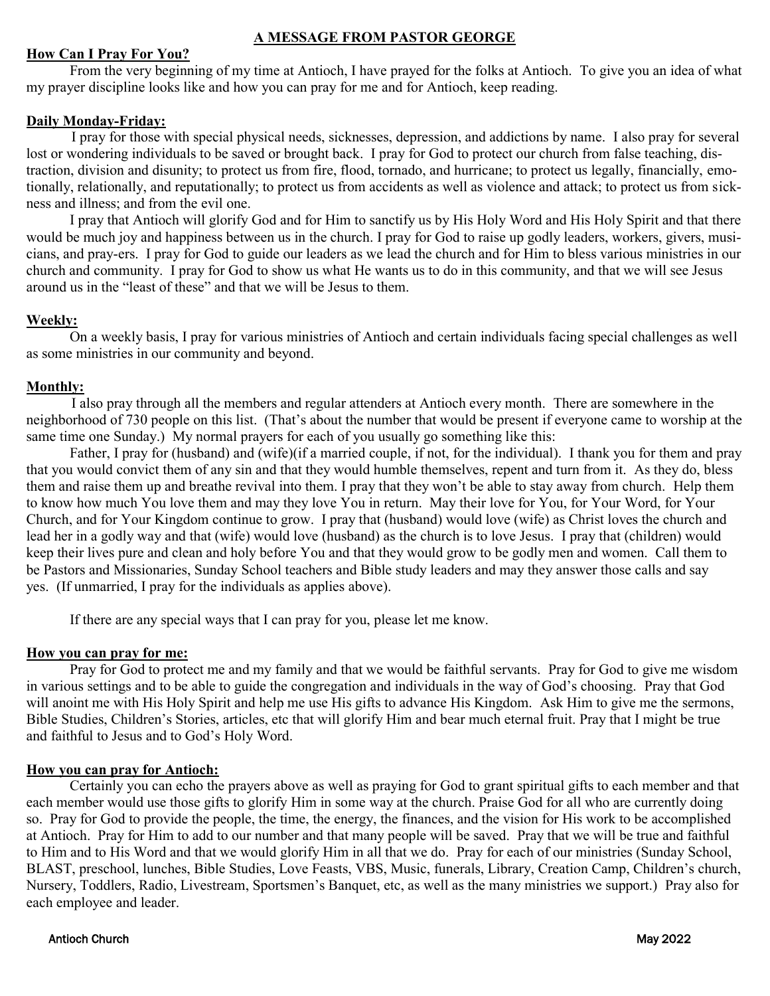#### **A MESSAGE FROM PASTOR GEORGE**

#### **How Can I Pray For You?**

 From the very beginning of my time at Antioch, I have prayed for the folks at Antioch. To give you an idea of what my prayer discipline looks like and how you can pray for me and for Antioch, keep reading.

#### **Daily Monday-Friday:**

I pray for those with special physical needs, sicknesses, depression, and addictions by name. I also pray for several lost or wondering individuals to be saved or brought back. I pray for God to protect our church from false teaching, distraction, division and disunity; to protect us from fire, flood, tornado, and hurricane; to protect us legally, financially, emotionally, relationally, and reputationally; to protect us from accidents as well as violence and attack; to protect us from sickness and illness; and from the evil one.

 I pray that Antioch will glorify God and for Him to sanctify us by His Holy Word and His Holy Spirit and that there would be much joy and happiness between us in the church. I pray for God to raise up godly leaders, workers, givers, musicians, and pray-ers. I pray for God to guide our leaders as we lead the church and for Him to bless various ministries in our church and community. I pray for God to show us what He wants us to do in this community, and that we will see Jesus around us in the "least of these" and that we will be Jesus to them.

#### **Weekly:**

 On a weekly basis, I pray for various ministries of Antioch and certain individuals facing special challenges as well as some ministries in our community and beyond.

#### **Monthly:**

I also pray through all the members and regular attenders at Antioch every month. There are somewhere in the neighborhood of 730 people on this list. (That's about the number that would be present if everyone came to worship at the same time one Sunday.) My normal prayers for each of you usually go something like this:

 Father, I pray for (husband) and (wife)(if a married couple, if not, for the individual). I thank you for them and pray that you would convict them of any sin and that they would humble themselves, repent and turn from it. As they do, bless them and raise them up and breathe revival into them. I pray that they won't be able to stay away from church. Help them to know how much You love them and may they love You in return. May their love for You, for Your Word, for Your Church, and for Your Kingdom continue to grow. I pray that (husband) would love (wife) as Christ loves the church and lead her in a godly way and that (wife) would love (husband) as the church is to love Jesus. I pray that (children) would keep their lives pure and clean and holy before You and that they would grow to be godly men and women. Call them to be Pastors and Missionaries, Sunday School teachers and Bible study leaders and may they answer those calls and say yes. (If unmarried, I pray for the individuals as applies above).

If there are any special ways that I can pray for you, please let me know.

#### **How you can pray for me:**

 Pray for God to protect me and my family and that we would be faithful servants. Pray for God to give me wisdom in various settings and to be able to guide the congregation and individuals in the way of God's choosing. Pray that God will anoint me with His Holy Spirit and help me use His gifts to advance His Kingdom. Ask Him to give me the sermons, Bible Studies, Children's Stories, articles, etc that will glorify Him and bear much eternal fruit. Pray that I might be true and faithful to Jesus and to God's Holy Word.

#### **How you can pray for Antioch:**

 Certainly you can echo the prayers above as well as praying for God to grant spiritual gifts to each member and that each member would use those gifts to glorify Him in some way at the church. Praise God for all who are currently doing so. Pray for God to provide the people, the time, the energy, the finances, and the vision for His work to be accomplished at Antioch. Pray for Him to add to our number and that many people will be saved. Pray that we will be true and faithful to Him and to His Word and that we would glorify Him in all that we do. Pray for each of our ministries (Sunday School, BLAST, preschool, lunches, Bible Studies, Love Feasts, VBS, Music, funerals, Library, Creation Camp, Children's church, Nursery, Toddlers, Radio, Livestream, Sportsmen's Banquet, etc, as well as the many ministries we support.) Pray also for each employee and leader.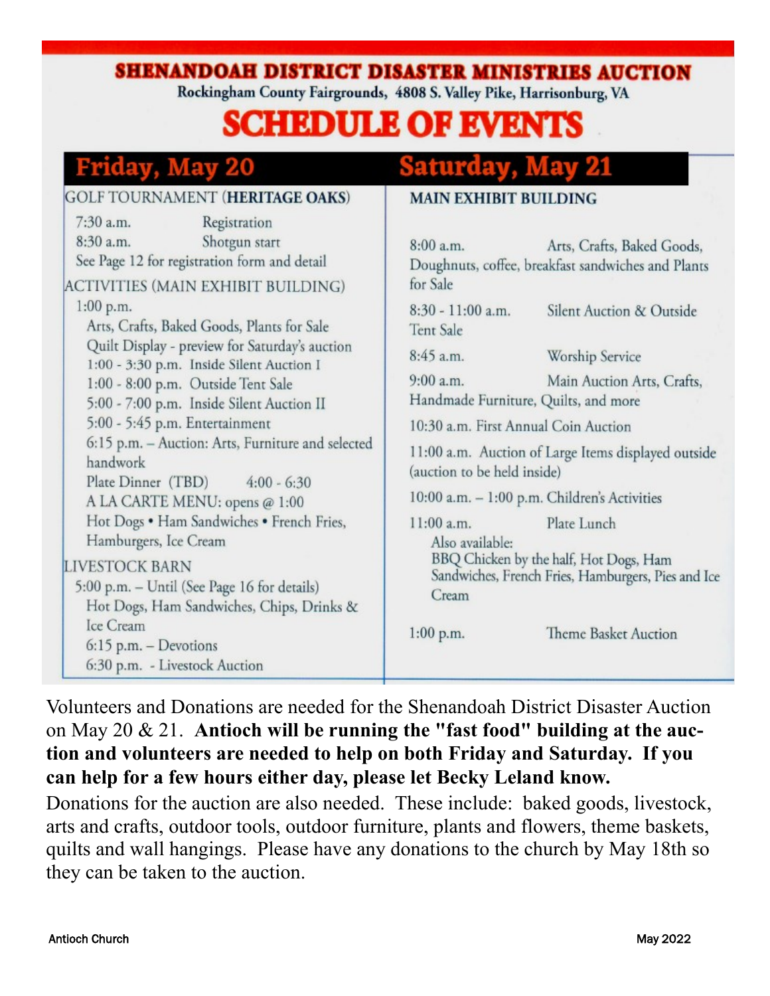SHENANDOAH DISTRICT DISASTER MINISTRIES AUCTION

Rockingham County Fairgrounds, 4808 S. Valley Pike, Harrisonburg, VA

## **SCHEDULE OF EVENTS**

## Friday. May

#### **GOLF TOURNAMENT (HERITAGE OAKS) MAIN EXHIBIT BUILDING** 7:30 a.m. Registration  $8:30$  a.m. Shotgun start  $8:00a.m.$ Arts, Crafts, Baked Goods. See Page 12 for registration form and detail Doughnuts, coffee, breakfast sandwiches and Plants **ACTIVITIES (MAIN EXHIBIT BUILDING)** for Sale  $1:00$  p.m. 8:30 - 11:00 a.m. Silent Auction & Outside Arts, Crafts, Baked Goods, Plants for Sale Tent Sale Quilt Display - preview for Saturday's auction  $8:45a$  m. Worship Service 1:00 - 3:30 p.m. Inside Silent Auction I  $9:00 a.m.$ Main Auction Arts, Crafts, 1:00 - 8:00 p.m. Outside Tent Sale Handmade Furniture, Quilts, and more 5:00 - 7:00 p.m. Inside Silent Auction II 5:00 - 5:45 p.m. Entertainment 10:30 a.m. First Annual Coin Auction 6:15 p.m. - Auction: Arts, Furniture and selected 11:00 a.m. Auction of Large Items displayed outside handwork (auction to be held inside) Plate Dinner (TBD)  $4:00 - 6:30$ 10:00 a.m. - 1:00 p.m. Children's Activities A LA CARTE MENU: opens @ 1:00 Hot Dogs . Ham Sandwiches . French Fries,  $11:00$  a.m. Plate Lunch Hamburgers, Ice Cream Also available: BBQ Chicken by the half, Hot Dogs, Ham LIVESTOCK BARN Sandwiches, French Fries, Hamburgers, Pies and Ice 5:00 p.m. - Until (See Page 16 for details) Cream Hot Dogs, Ham Sandwiches, Chips, Drinks & Ice Cream  $1:00$  p.m. Theme Basket Auction  $6:15$  p.m. - Devotions 6:30 p.m. - Livestock Auction

Volunteers and Donations are needed for the Shenandoah District Disaster Auction on May 20 & 21. **Antioch will be running the "fast food" building at the auction and volunteers are needed to help on both Friday and Saturday. If you can help for a few hours either day, please let Becky Leland know.**

Donations for the auction are also needed. These include: baked goods, livestock, arts and crafts, outdoor tools, outdoor furniture, plants and flowers, theme baskets, quilts and wall hangings. Please have any donations to the church by May 18th so they can be taken to the auction.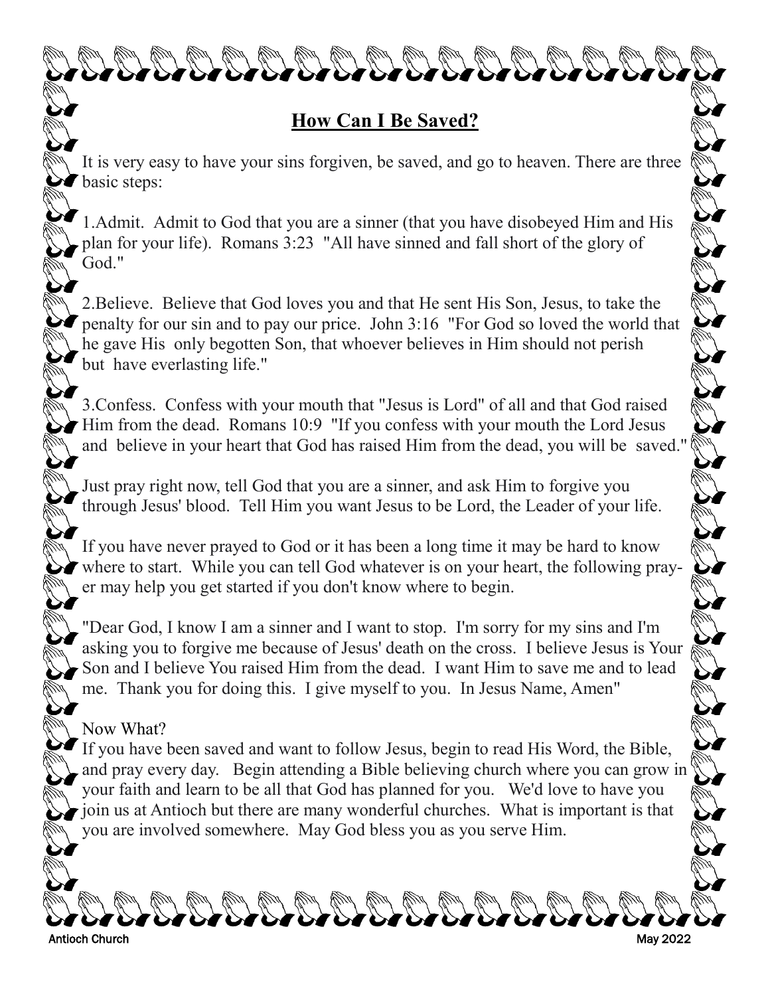

<u>that that that that that that they that the</u>

It is very easy to have your sins forgiven, be saved, and go to heaven. There are three **basic steps:** 

1.Admit. Admit to God that you are a sinner (that you have disobeyed Him and His plan for your life). Romans 3:23 "All have sinned and fall short of the glory of God."

2.Believe. Believe that God loves you and that He sent His Son, Jesus, to take the penalty for our sin and to pay our price. John 3:16 "For God so loved the world that he gave His only begotten Son, that whoever believes in Him should not perish but have everlasting life."

A CALACALAR CALACALAR

3.Confess. Confess with your mouth that "Jesus is Lord" of all and that God raised Him from the dead. Romans 10:9 "If you confess with your mouth the Lord Jesus and believe in your heart that God has raised Him from the dead, you will be saved."

Just pray right now, tell God that you are a sinner, and ask Him to forgive you through Jesus' blood. Tell Him you want Jesus to be Lord, the Leader of your life.

If you have never prayed to God or it has been a long time it may be hard to know where to start. While you can tell God whatever is on your heart, the following prayer may help you get started if you don't know where to begin.

"Dear God, I know I am a sinner and I want to stop. I'm sorry for my sins and I'm asking you to forgive me because of Jesus' death on the cross. I believe Jesus is Your Son and I believe You raised Him from the dead. I want Him to save me and to lead me. Thank you for doing this. I give myself to you. In Jesus Name, Amen"

### Now What?

If you have been saved and want to follow Jesus, begin to read His Word, the Bible, and pray every day. Begin attending a Bible believing church where you can grow in your faith and learn to be all that God has planned for you. We'd love to have you ioin us at Antioch but there are many wonderful churches. What is important is that you are involved somewhere. May God bless you as you serve Him.

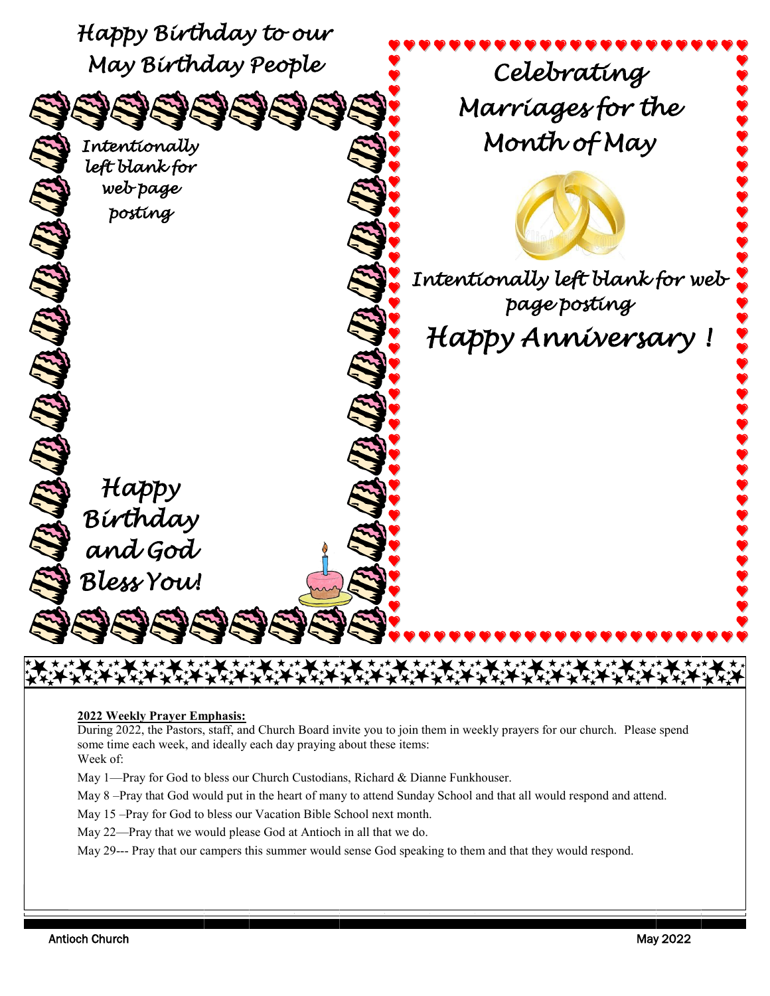

#### **2022 Weekly Prayer Emphasis:**

During 2022, the Pastors, staff, and Church Board invite you to join them in weekly prayers for our church. Please spend some time each week, and ideally each day praying about these items: Week of:

May 1—Pray for God to bless our Church Custodians, Richard & Dianne Funkhouser.

May 8 –Pray that God would put in the heart of many to attend Sunday School and that all would respond and attend.

May 15 –Pray for God to bless our Vacation Bible School next month.

May 22—Pray that we would please God at Antioch in all that we do.

May 29--- Pray that our campers this summer would sense God speaking to them and that they would respond.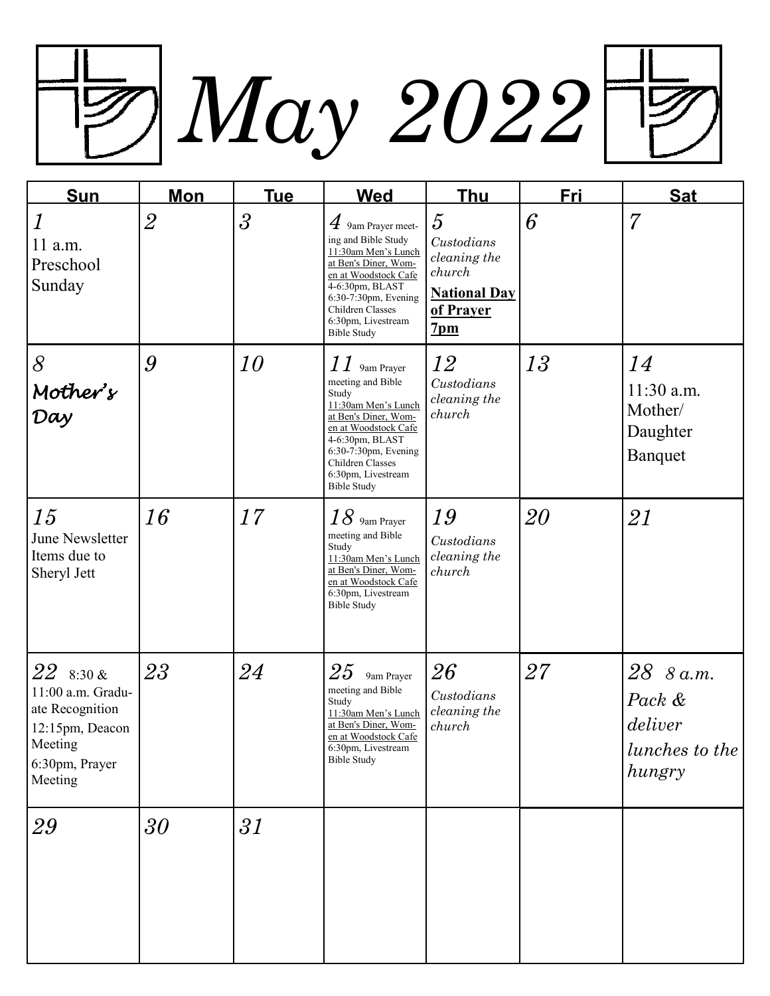*May 2022*

| <b>Sun</b>                                                                                                | <u>Mon</u>     | <u>Tue</u>               | <b>Wed</b>                                                                                                                                                                                                                      | <u>Thu</u>                                                                                                    | <b>Fri</b> | <b>Sat</b>                                                 |
|-----------------------------------------------------------------------------------------------------------|----------------|--------------------------|---------------------------------------------------------------------------------------------------------------------------------------------------------------------------------------------------------------------------------|---------------------------------------------------------------------------------------------------------------|------------|------------------------------------------------------------|
| $\boldsymbol{l}$<br>11 a.m.<br>Preschool<br>Sunday                                                        | $\overline{2}$ | $\overline{\mathcal{S}}$ | $4$ 9am Prayer meet-<br>ing and Bible Study<br>11:30am Men's Lunch<br>at Ben's Diner, Wom-<br>en at Woodstock Cafe<br>4-6:30pm, BLAST<br>6:30-7:30pm, Evening<br>Children Classes<br>6:30pm, Livestream<br><b>Bible Study</b>   | $\overline{5}$<br>Custodians<br>cleaning the<br>church<br><b>National Day</b><br>of Prayer<br>7 <sub>pm</sub> | 6          | 7                                                          |
| $\delta$<br>Mother's<br>Day                                                                               | 9              | 10                       | $11$ 9am Prayer<br>meeting and Bible<br>Study<br>11:30am Men's Lunch<br>at Ben's Diner, Wom-<br>en at Woodstock Cafe<br>4-6:30pm, BLAST<br>6:30-7:30pm, Evening<br>Children Classes<br>6:30pm, Livestream<br><b>Bible Study</b> | 12<br>Custodians<br>cleaning the<br>church                                                                    | 13         | 14<br>11:30 a.m.<br>Mother/<br>Daughter<br><b>Banquet</b>  |
| <i>15</i><br>June Newsletter<br>Items due to<br>Sheryl Jett                                               | 16             | 17                       | $18$ 9am Prayer<br>meeting and Bible<br>Study<br>11:30am Men's Lunch<br>at Ben's Diner, Wom-<br>en at Woodstock Cafe<br>6:30pm, Livestream<br><b>Bible Study</b>                                                                | 19<br>Custodians<br>cleaning the<br>church                                                                    | 20         | 21                                                         |
| 22830x<br>11:00 a.m. Gradu-<br>ate Recognition<br>12:15pm, Deacon<br>Meeting<br>6:30pm, Prayer<br>Meeting | 23             | 24                       | 25<br>9am Prayer<br>meeting and Bible<br>Study<br>11:30am Men's Lunch<br>at Ben's Diner, Wom-<br>en at Woodstock Cafe<br>6:30pm, Livestream<br>Bible Study                                                                      | 26<br>Custodians<br>cleaning the<br>church                                                                    | $27\,$     | 28 8 a.m.<br>Pack &<br>deliver<br>lunches to the<br>hungry |
| 29                                                                                                        | 30             | 31                       |                                                                                                                                                                                                                                 |                                                                                                               |            |                                                            |